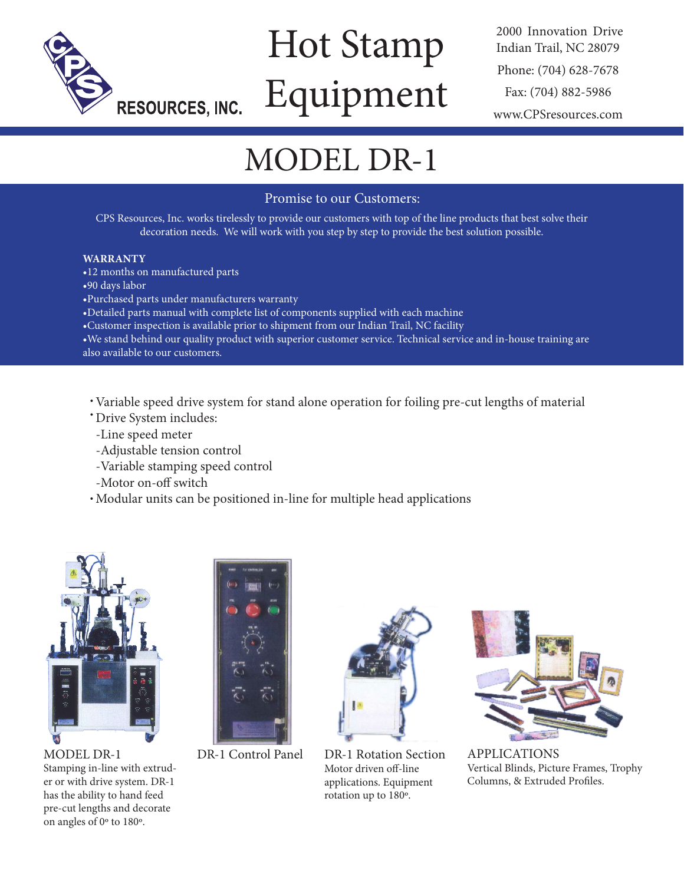

# Hot Stamp Equipment

2000 Innovation Drive Indian Trail, NC 28079 Phone: (704) 628-7678 Fax: (704) 882-5986 www.CPSresources.com

# MODEL DR-1

## Promise to our Customers:

CPS Resources, Inc. works tirelessly to provide our customers with top of the line products that best solve their decoration needs. We will work with you step by step to provide the best solution possible.

#### **WARRANTY**

•12 months on manufactured parts

- •90 days labor
- •Purchased parts under manufacturers warranty

•Detailed parts manual with complete list of components supplied with each machine

•Customer inspection is available prior to shipment from our Indian Trail, NC facility

•We stand behind our quality product with superior customer service. Technical service and in-house training are also available to our customers.

Variable speed drive system for stand alone operation for foiling pre-cut lengths of material

- Drive System includes:
- -Line speed meter
- -Adjustable tension control
- -Variable stamping speed control
- -Motor on-off switch
- Modular units can be positioned in-line for multiple head applications



MODEL DR-1 Stamping in-line with extruder or with drive system. DR-1 has the ability to hand feed pre-cut lengths and decorate on angles of 0º to 180º.



DR-1 Control Panel



DR-1 Rotation Section Motor driven off-line applications. Equipment rotation up to 180º.



APPLICATIONS Vertical Blinds, Picture Frames, Trophy Columns, & Extruded Profiles.